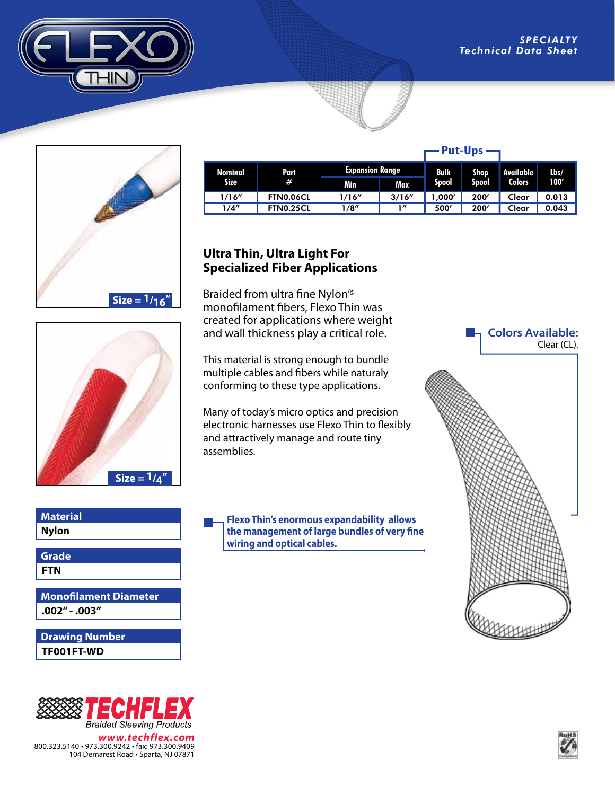





## **Nylon Material**

**FTN Grade**

**.002" - .003" Monofilament Diameter**

## **TF001FT-WD Drawing Number**



*www.techflex.com* 800.323.5140 • 973.300.9242 • fax: 973.300.9409 104 Demarest Road • Sparta, NJ 07871

| Nominal<br><b>Size</b> | Part<br># | <b>Expansion Range</b> |            | Bulk         | <b>Shop</b> | Available     | Lbs/  |
|------------------------|-----------|------------------------|------------|--------------|-------------|---------------|-------|
|                        |           | Min                    | <b>Max</b> | <b>Spool</b> | Spool       | <b>Colors</b> | 100'  |
| 1/16''                 | FTN0.06CL | 1/16''                 | 3/16''     | 1.000'       | 200'        | Clear         | 0.013 |
| 1/4"                   | FTN0.25CL | 1/8"                   | 1"         | 500'         | 200'        | Clear         | 0.043 |

## **Ultra Thin, Ultra Light For Specialized Fiber Applications**

Braided from ultra fine Nylon® monofilament fibers, Flexo Thin was created for applications where weight and wall thickness play a critical role.

This material is strong enough to bundle multiple cables and fibers while naturaly conforming to these type applications.

Many of today's micro optics and precision electronic harnesses use Flexo Thin to flexibly and attractively manage and route tiny assemblies.

**Flexo Thin's enormous expandability allows the management of large bundles of very fine wiring and optical cables.**